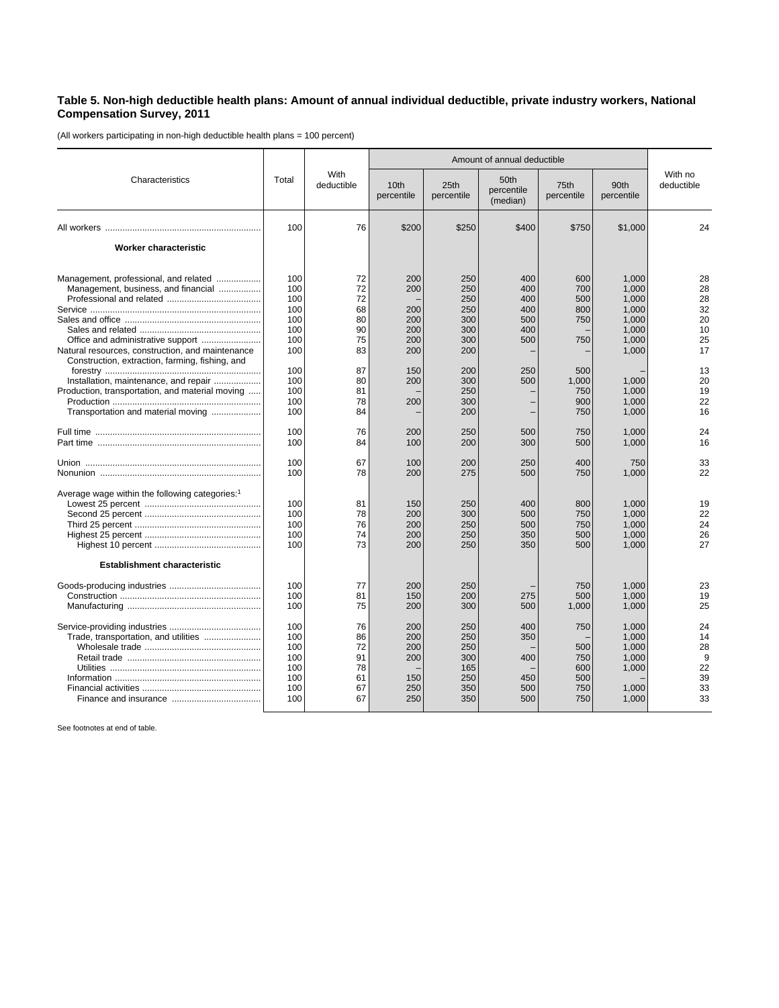## **Table 5. Non-high deductible health plans: Amount of annual individual deductible, private industry workers, National Compensation Survey, 2011**

(All workers participating in non-high deductible health plans = 100 percent)

|                                                                                                                                                                                                                                                                                                                       | Total                                                                                   | With<br>deductible                                                         | Amount of annual deductible                                        |                                                                                         |                                                             |                                                                             |                                                                                                          |                                                                            |
|-----------------------------------------------------------------------------------------------------------------------------------------------------------------------------------------------------------------------------------------------------------------------------------------------------------------------|-----------------------------------------------------------------------------------------|----------------------------------------------------------------------------|--------------------------------------------------------------------|-----------------------------------------------------------------------------------------|-------------------------------------------------------------|-----------------------------------------------------------------------------|----------------------------------------------------------------------------------------------------------|----------------------------------------------------------------------------|
| Characteristics                                                                                                                                                                                                                                                                                                       |                                                                                         |                                                                            | 10th<br>percentile                                                 | 25th<br>percentile                                                                      | 50th<br>percentile<br>(median)                              | 75th<br>percentile                                                          | 90th<br>percentile                                                                                       | With no<br>deductible                                                      |
|                                                                                                                                                                                                                                                                                                                       | 100                                                                                     | 76                                                                         | \$200                                                              | \$250                                                                                   | \$400                                                       | \$750                                                                       | \$1,000                                                                                                  | 24                                                                         |
| Worker characteristic                                                                                                                                                                                                                                                                                                 |                                                                                         |                                                                            |                                                                    |                                                                                         |                                                             |                                                                             |                                                                                                          |                                                                            |
| Management, professional, and related<br>Management, business, and financial<br>Natural resources, construction, and maintenance<br>Construction, extraction, farming, fishing, and<br>Installation, maintenance, and repair<br>Production, transportation, and material moving<br>Transportation and material moving | 100<br>100<br>100<br>100<br>100<br>100<br>100<br>100<br>100<br>100<br>100<br>100<br>100 | 72<br>72<br>72<br>68<br>80<br>90<br>75<br>83<br>87<br>80<br>81<br>78<br>84 | 200<br>200<br>200<br>200<br>200<br>200<br>200<br>150<br>200<br>200 | 250<br>250<br>250<br>250<br>300<br>300<br>300<br>200<br>200<br>300<br>250<br>300<br>200 | 400<br>400<br>400<br>400<br>500<br>400<br>500<br>250<br>500 | 600<br>700<br>500<br>800<br>750<br>750<br>500<br>1,000<br>750<br>900<br>750 | 1.000<br>1.000<br>1,000<br>1.000<br>1,000<br>1,000<br>1,000<br>1,000<br>1.000<br>1.000<br>1,000<br>1,000 | 28<br>28<br>28<br>32<br>20<br>10<br>25<br>17<br>13<br>20<br>19<br>22<br>16 |
|                                                                                                                                                                                                                                                                                                                       | 100<br>100                                                                              | 76<br>84                                                                   | 200<br>100                                                         | 250<br>200                                                                              | 500<br>300                                                  | 750<br>500                                                                  | 1,000<br>1,000                                                                                           | 24<br>16                                                                   |
|                                                                                                                                                                                                                                                                                                                       | 100<br>100                                                                              | 67<br>78                                                                   | 100<br>200                                                         | 200<br>275                                                                              | 250<br>500                                                  | 400<br>750                                                                  | 750<br>1,000                                                                                             | 33<br>22                                                                   |
| Average wage within the following categories: <sup>1</sup>                                                                                                                                                                                                                                                            | 100<br>100<br>100<br>100<br>100                                                         | 81<br>78<br>76<br>74<br>73                                                 | 150<br>200<br>200<br>200<br>200                                    | 250<br>300<br>250<br>250<br>250                                                         | 400<br>500<br>500<br>350<br>350                             | 800<br>750<br>750<br>500<br>500                                             | 1,000<br>1,000<br>1,000<br>1,000<br>1,000                                                                | 19<br>22<br>24<br>26<br>27                                                 |
| <b>Establishment characteristic</b>                                                                                                                                                                                                                                                                                   |                                                                                         |                                                                            |                                                                    |                                                                                         |                                                             |                                                                             |                                                                                                          |                                                                            |
|                                                                                                                                                                                                                                                                                                                       | 100<br>100<br>100                                                                       | 77<br>81<br>75                                                             | 200<br>150<br>200                                                  | 250<br>200<br>300                                                                       | 275<br>500                                                  | 750<br>500<br>1,000                                                         | 1.000<br>1,000<br>1,000                                                                                  | 23<br>19<br>25                                                             |
| Trade, transportation, and utilities                                                                                                                                                                                                                                                                                  | 100<br>100<br>100<br>100<br>100<br>100<br>100<br>100                                    | 76<br>86<br>72<br>91<br>78<br>61<br>67<br>67                               | 200<br>200<br>200<br>200<br>150<br>250<br>250                      | 250<br>250<br>250<br>300<br>165<br>250<br>350<br>350                                    | 400<br>350<br>400<br>450<br>500<br>500                      | 750<br>500<br>750<br>600<br>500<br>750<br>750                               | 1.000<br>1,000<br>1,000<br>1,000<br>1,000<br>1.000<br>1,000                                              | 24<br>14<br>28<br>9<br>22<br>39<br>33<br>33                                |

See footnotes at end of table.